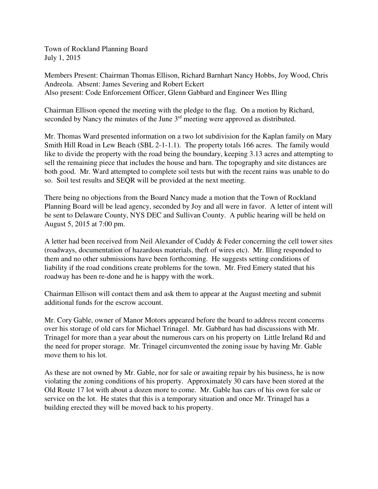Town of Rockland Planning Board July 1, 2015

Members Present: Chairman Thomas Ellison, Richard Barnhart Nancy Hobbs, Joy Wood, Chris Andreola. Absent: James Severing and Robert Eckert Also present: Code Enforcement Officer, Glenn Gabbard and Engineer Wes Illing

Chairman Ellison opened the meeting with the pledge to the flag. On a motion by Richard, seconded by Nancy the minutes of the June 3<sup>rd</sup> meeting were approved as distributed.

Mr. Thomas Ward presented information on a two lot subdivision for the Kaplan family on Mary Smith Hill Road in Lew Beach (SBL 2-1-1.1). The property totals 166 acres. The family would like to divide the property with the road being the boundary, keeping 3.13 acres and attempting to sell the remaining piece that includes the house and barn. The topography and site distances are both good. Mr. Ward attempted to complete soil tests but with the recent rains was unable to do so. Soil test results and SEQR will be provided at the next meeting.

There being no objections from the Board Nancy made a motion that the Town of Rockland Planning Board will be lead agency, seconded by Joy and all were in favor. A letter of intent will be sent to Delaware County, NYS DEC and Sullivan County. A public hearing will be held on August 5, 2015 at 7:00 pm.

A letter had been received from Neil Alexander of Cuddy & Feder concerning the cell tower sites (roadways, documentation of hazardous materials, theft of wires etc). Mr. Illing responded to them and no other submissions have been forthcoming. He suggests setting conditions of liability if the road conditions create problems for the town. Mr. Fred Emery stated that his roadway has been re-done and he is happy with the work.

Chairman Ellison will contact them and ask them to appear at the August meeting and submit additional funds for the escrow account.

Mr. Cory Gable, owner of Manor Motors appeared before the board to address recent concerns over his storage of old cars for Michael Trinagel. Mr. Gabbard has had discussions with Mr. Trinagel for more than a year about the numerous cars on his property on Little Ireland Rd and the need for proper storage. Mr. Trinagel circumvented the zoning issue by having Mr. Gable move them to his lot.

As these are not owned by Mr. Gable, nor for sale or awaiting repair by his business, he is now violating the zoning conditions of his property. Approximately 30 cars have been stored at the Old Route 17 lot with about a dozen more to come. Mr. Gable has cars of his own for sale or service on the lot. He states that this is a temporary situation and once Mr. Trinagel has a building erected they will be moved back to his property.